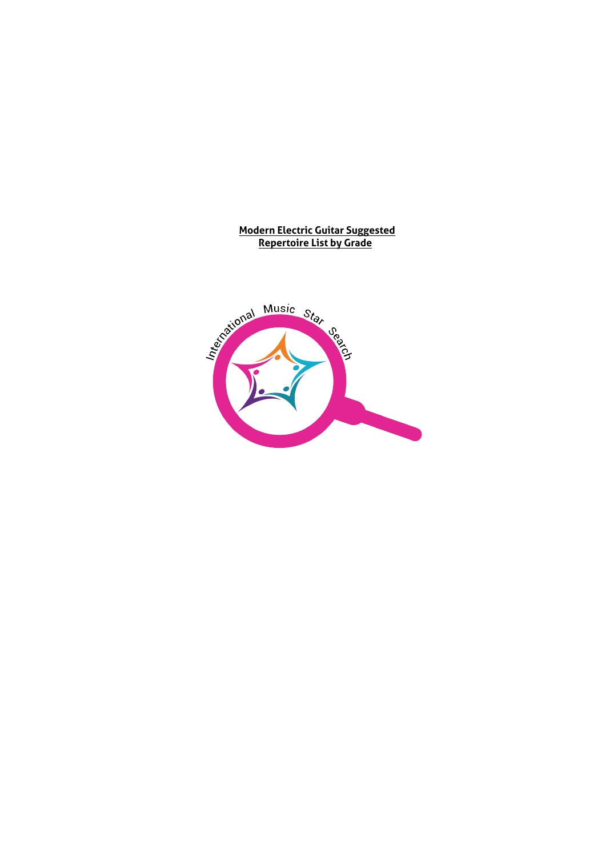#### **Modern Electric Guitar Suggested Repertoire List by Grade**

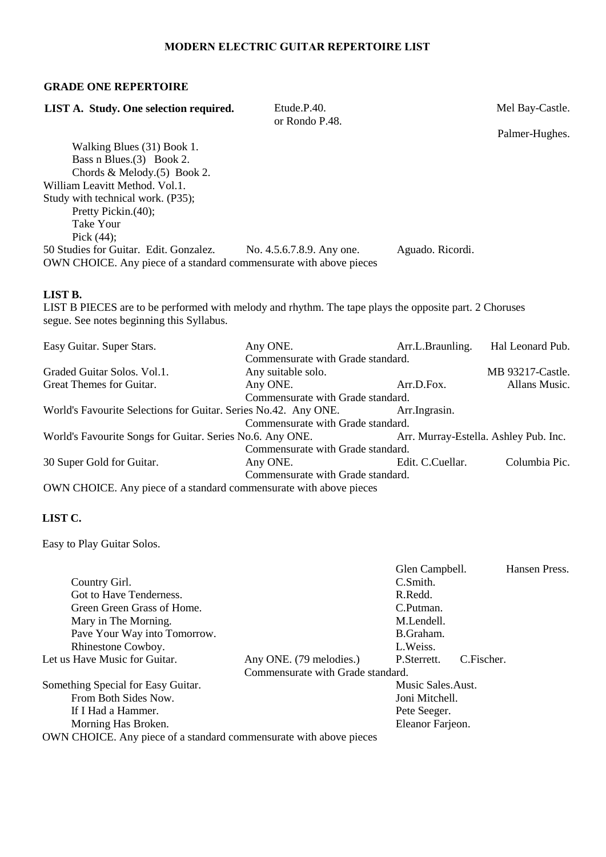# **MODERN ELECTRIC GUITAR REPERTOIRE LIST**

# **GRADE ONE REPERTOIRE**

| LIST A. Study. One selection required.                                                                 | Etude.P.40.<br>or Rondo P.48.     |                  | Mel Bay-Castle.                       |
|--------------------------------------------------------------------------------------------------------|-----------------------------------|------------------|---------------------------------------|
|                                                                                                        |                                   |                  | Palmer-Hughes.                        |
| Walking Blues (31) Book 1.                                                                             |                                   |                  |                                       |
| Bass n Blues. (3) Book 2.                                                                              |                                   |                  |                                       |
| Chords & Melody. $(5)$ Book 2.                                                                         |                                   |                  |                                       |
| William Leavitt Method. Vol.1.                                                                         |                                   |                  |                                       |
| Study with technical work. (P35);                                                                      |                                   |                  |                                       |
| Pretty Pickin.(40);                                                                                    |                                   |                  |                                       |
| <b>Take Your</b>                                                                                       |                                   |                  |                                       |
| Pick $(44)$ ;                                                                                          |                                   |                  |                                       |
| 50 Studies for Guitar. Edit. Gonzalez.                                                                 | No. 4.5.6.7.8.9. Any one.         | Aguado. Ricordi. |                                       |
| OWN CHOICE. Any piece of a standard commensurate with above pieces                                     |                                   |                  |                                       |
|                                                                                                        |                                   |                  |                                       |
| LIST B.                                                                                                |                                   |                  |                                       |
| LIST B PIECES are to be performed with melody and rhythm. The tape plays the opposite part. 2 Choruses |                                   |                  |                                       |
| segue. See notes beginning this Syllabus.                                                              |                                   |                  |                                       |
|                                                                                                        |                                   |                  |                                       |
| Easy Guitar. Super Stars.                                                                              | Any ONE.                          | Arr.L.Braunling. | Hal Leonard Pub.                      |
|                                                                                                        | Commensurate with Grade standard. |                  |                                       |
| Graded Guitar Solos. Vol.1.                                                                            | Any suitable solo.                |                  | MB 93217-Castle.                      |
| Great Themes for Guitar.                                                                               | Any ONE.                          | Arr.D.Fox.       | Allans Music.                         |
|                                                                                                        | Commensurate with Grade standard. |                  |                                       |
| World's Favourite Selections for Guitar. Series No.42. Any ONE.                                        |                                   | Arr.Ingrasin.    |                                       |
|                                                                                                        | Commensurate with Grade standard. |                  |                                       |
| World's Favourite Songs for Guitar. Series No.6. Any ONE.                                              |                                   |                  | Arr. Murray-Estella. Ashley Pub. Inc. |
|                                                                                                        | Commensurate with Grade standard. |                  |                                       |
| 30 Super Gold for Guitar.                                                                              | Any ONE.                          | Edit. C.Cuellar. | Columbia Pic.                         |
|                                                                                                        | Commensurate with Grade standard. |                  |                                       |
| OWN CHOICE. Any piece of a standard commensurate with above pieces                                     |                                   |                  |                                       |
|                                                                                                        |                                   |                  |                                       |

# **LIST C.**

Easy to Play Guitar Solos.

|                                                                    | C.Smith.       |                                   |                                                                                         |
|--------------------------------------------------------------------|----------------|-----------------------------------|-----------------------------------------------------------------------------------------|
|                                                                    | R.Redd.        |                                   |                                                                                         |
|                                                                    | C.Putman.      |                                   |                                                                                         |
|                                                                    | M.Lendell.     |                                   |                                                                                         |
|                                                                    | B.Graham.      |                                   |                                                                                         |
|                                                                    | L.Weiss.       |                                   |                                                                                         |
| Any ONE. (79 melodies.)                                            | P. Sterrett.   |                                   |                                                                                         |
|                                                                    |                |                                   |                                                                                         |
|                                                                    |                |                                   |                                                                                         |
|                                                                    | Joni Mitchell. |                                   |                                                                                         |
|                                                                    | Pete Seeger.   |                                   |                                                                                         |
|                                                                    |                |                                   |                                                                                         |
| OWN CHOICE. Any piece of a standard commensurate with above pieces |                |                                   |                                                                                         |
|                                                                    |                | Commensurate with Grade standard. | Glen Campbell.<br>Hansen Press.<br>C.Fischer.<br>Music Sales. Aust.<br>Eleanor Farjeon. |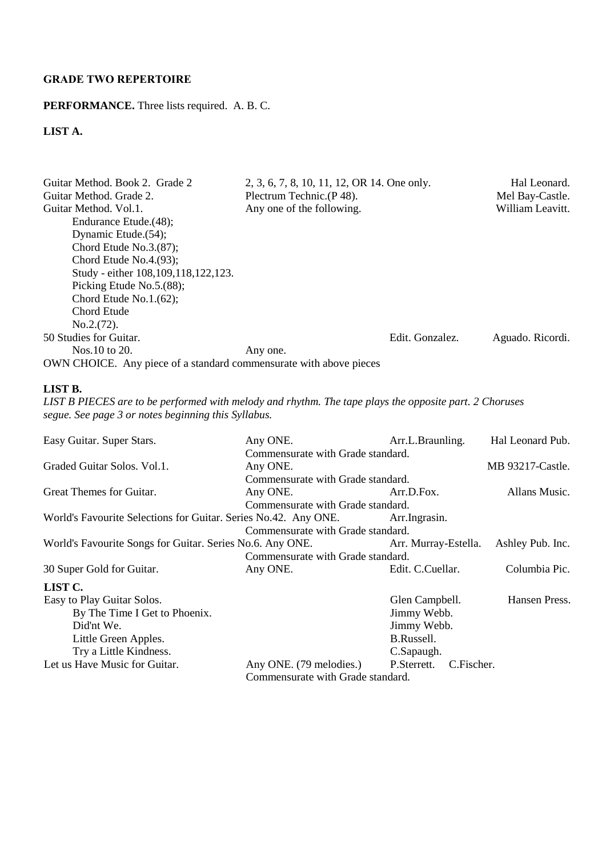# **GRADE TWO REPERTOIRE**

# **PERFORMANCE.** Three lists required. A. B. C.

# **LIST A.**

| Guitar Method, Book 2. Grade 2<br>Guitar Method. Grade 2.          | 2, 3, 6, 7, 8, 10, 11, 12, OR 14. One only.<br>Plectrum Technic.(P48). |                 | Hal Leonard.     |
|--------------------------------------------------------------------|------------------------------------------------------------------------|-----------------|------------------|
|                                                                    |                                                                        |                 | Mel Bay-Castle.  |
| Guitar Method, Vol.1.                                              | Any one of the following.                                              |                 | William Leavitt. |
| Endurance Etude.(48);                                              |                                                                        |                 |                  |
| Dynamic Etude.(54);                                                |                                                                        |                 |                  |
| Chord Etude No. $3(87)$ ;                                          |                                                                        |                 |                  |
| Chord Etude No.4. $(93)$ ;                                         |                                                                        |                 |                  |
| Study - either 108, 109, 118, 122, 123.                            |                                                                        |                 |                  |
| Picking Etude No.5.(88);                                           |                                                                        |                 |                  |
| Chord Etude No.1. $(62)$ ;                                         |                                                                        |                 |                  |
| Chord Etude                                                        |                                                                        |                 |                  |
| No.2.(72).                                                         |                                                                        |                 |                  |
| 50 Studies for Guitar.                                             |                                                                        | Edit. Gonzalez. | Aguado. Ricordi. |
| Nos. 10 to 20.                                                     | Any one.                                                               |                 |                  |
| OWN CHOICE. Any piece of a standard commensurate with above pieces |                                                                        |                 |                  |

#### **LIST B.**

*LIST B PIECES are to be performed with melody and rhythm. The tape plays the opposite part. 2 Choruses segue. See page 3 or notes beginning this Syllabus.* 

| Easy Guitar. Super Stars.                                       | Any ONE.                          | Arr.L.Braunling.          | Hal Leonard Pub. |
|-----------------------------------------------------------------|-----------------------------------|---------------------------|------------------|
|                                                                 | Commensurate with Grade standard. |                           |                  |
| Graded Guitar Solos, Vol.1.                                     | Any ONE.                          |                           | MB 93217-Castle. |
|                                                                 | Commensurate with Grade standard. |                           |                  |
| Great Themes for Guitar.                                        | Any ONE.                          | Arr.D.Fox.                | Allans Music.    |
|                                                                 | Commensurate with Grade standard. |                           |                  |
| World's Favourite Selections for Guitar. Series No.42. Any ONE. |                                   | Arr.Ingrasin.             |                  |
|                                                                 | Commensurate with Grade standard. |                           |                  |
| World's Favourite Songs for Guitar. Series No.6. Any ONE.       |                                   | Arr. Murray-Estella.      | Ashley Pub. Inc. |
|                                                                 | Commensurate with Grade standard. |                           |                  |
| 30 Super Gold for Guitar.                                       | Any ONE.                          | Edit. C.Cuellar.          | Columbia Pic.    |
| LIST C.                                                         |                                   |                           |                  |
| Easy to Play Guitar Solos.                                      |                                   | Glen Campbell.            | Hansen Press.    |
| By The Time I Get to Phoenix.                                   |                                   | Jimmy Webb.               |                  |
| Did'nt We.                                                      |                                   | Jimmy Webb.               |                  |
| Little Green Apples.                                            |                                   | B.Russell.                |                  |
| Try a Little Kindness.                                          |                                   | C.Sapaugh.                |                  |
| Let us Have Music for Guitar.                                   | Any ONE. (79 melodies.)           | C.Fischer.<br>P.Sterrett. |                  |
|                                                                 | Commensurate with Grade standard. |                           |                  |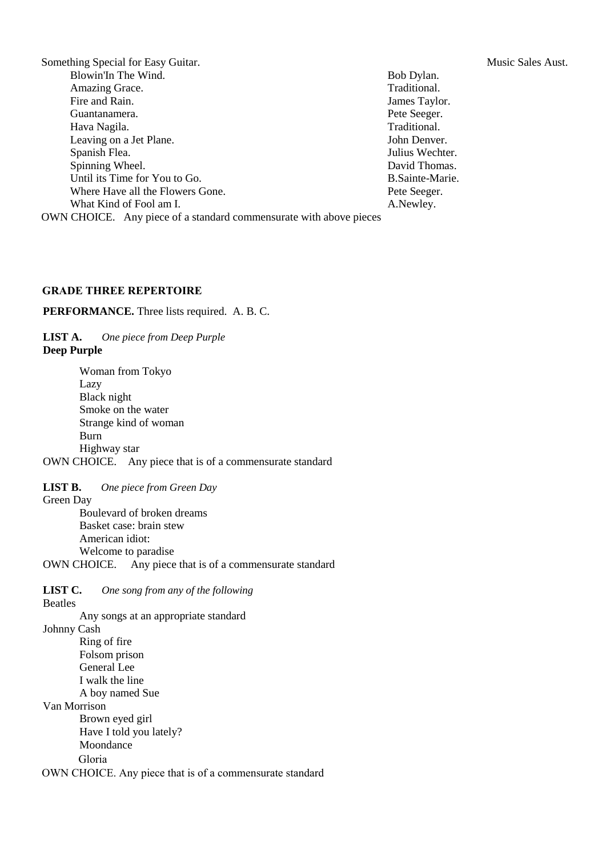Something Special for Easy Guitar. The Solution of the Sales Aust. Music Sales Aust. Blowin'In The Wind. Bob Dylan. Amazing Grace. Traditional. Fire and Rain. Some states of the state of the states of the states of the states of the states of the states of the states of the states of the states of the states of the states of the states of the states of the states Guantanamera. Pete Seeger. Hava Nagila. Traditional.<br>
Leaving on a Jet Plane. Solutional School and Traditional.<br>
John Denver. Leaving on a Jet Plane. Spanish Flea. Julius Wechter. Spinning Wheel. David Thomas. Until its Time for You to Go. B.Sainte-Marie. Where Have all the Flowers Gone. The Pete Seeger. What Kind of Fool am I. A.Newley. OWN CHOICE. Any piece of a standard commensurate with above pieces

#### **GRADE THREE REPERTOIRE**

**PERFORMANCE.** Three lists required. A. B. C.

**LIST A.** *One piece from Deep Purple* **Deep Purple** 

Woman from Tokyo Lazy Black night Smoke on the water Strange kind of woman Burn Highway star OWN CHOICE. Any piece that is of a commensurate standard

**LIST B.** *One piece from Green Day*

Green Day

Boulevard of broken dreams Basket case: brain stew American idiot: Welcome to paradise

OWN CHOICE. Any piece that is of a commensurate standard

**LIST C.** *One song from any of the following*

Beatles

Any songs at an appropriate standard

Johnny Cash

Ring of fire Folsom prison General Lee I walk the line A boy named Sue

Van Morrison

Brown eyed girl

Have I told you lately? Moondance

Gloria

OWN CHOICE. Any piece that is of a commensurate standard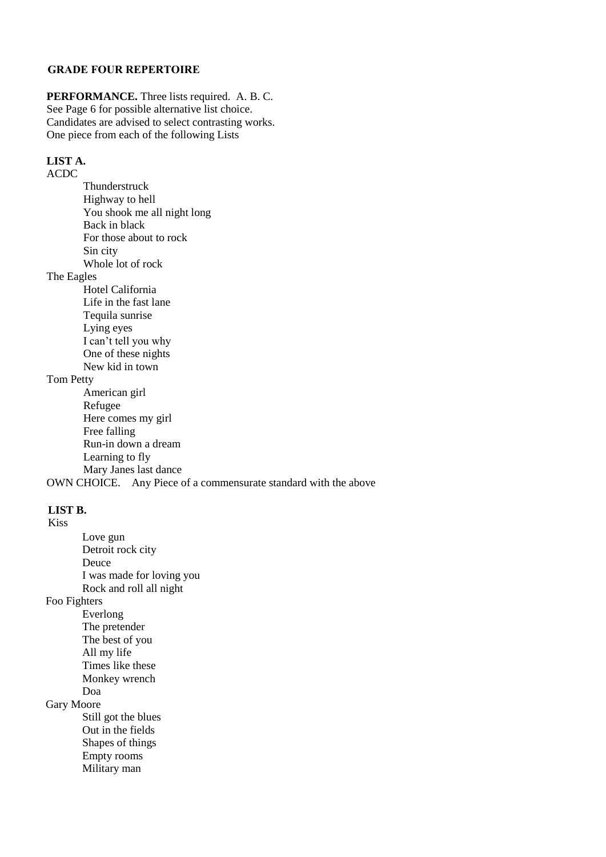### **GRADE FOUR REPERTOIRE**

**PERFORMANCE.** Three lists required. A. B. C. See Page 6 for possible alternative list choice. Candidates are advised to select contrasting works. One piece from each of the following Lists

## **LIST A.**

ACDC

Thunderstruck Highway to hell You shook me all night long Back in black For those about to rock Sin city Whole lot of rock

The Eagles

Hotel California Life in the fast lane Tequila sunrise Lying eyes I can't tell you why One of these nights New kid in town

Tom Petty

American girl Refugee Here comes my girl Free falling Run-in down a dream Learning to fly Mary Janes last dance

OWN CHOICE. Any Piece of a commensurate standard with the above

# **LIST B.**

Kiss

Love gun Detroit rock city Deuce I was made for loving you Rock and roll all night Foo Fighters Everlong The pretender The best of you All my life Times like these Monkey wrench Doa Gary Moore Still got the blues Out in the fields Shapes of things Empty rooms Military man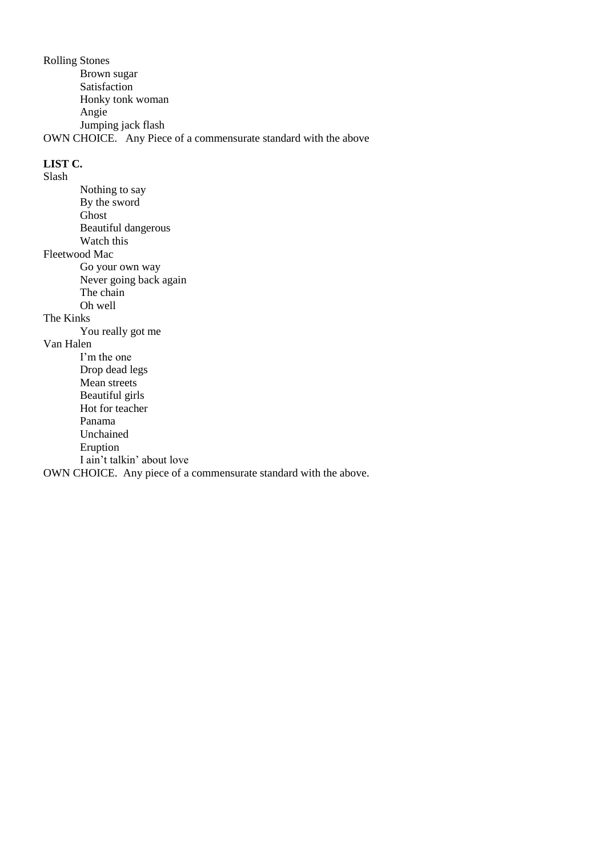Rolling Stones Brown sugar Satisfaction Honky tonk woman Angie Jumping jack flash OWN CHOICE. Any Piece of a commensurate standard with the above

#### **LIST C.** Slash

Nothing to say By the sword Ghost Beautiful dangerous Watch this Fleetwood Mac Go your own way Never going back again The chain Oh well The Kinks You really got me

# Van Halen

I'm the one Drop dead legs Mean streets Beautiful girls Hot for teacher Panama Unchained Eruption I ain't talkin' about love

OWN CHOICE. Any piece of a commensurate standard with the above.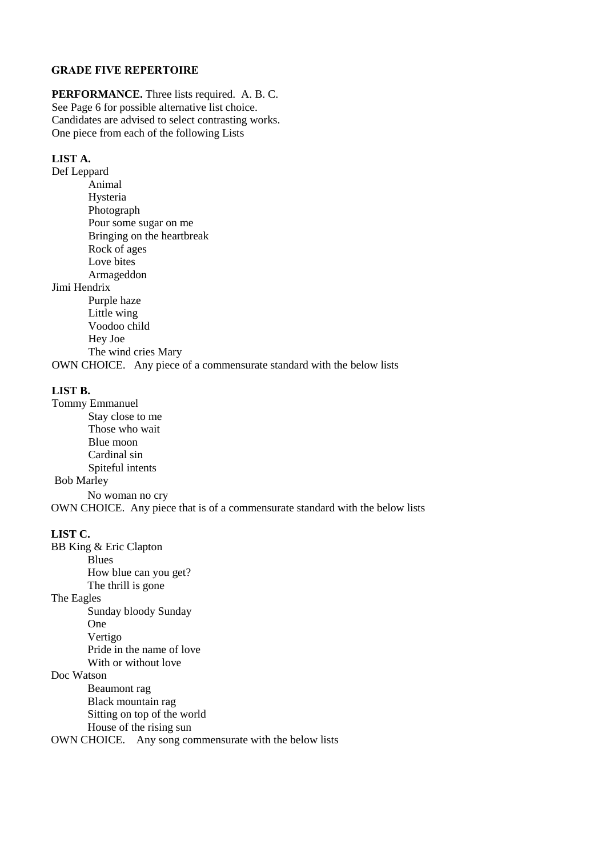#### **GRADE FIVE REPERTOIRE**

**PERFORMANCE.** Three lists required. A. B. C. See Page 6 for possible alternative list choice. Candidates are advised to select contrasting works. One piece from each of the following Lists

#### **LIST A.**

Def Leppard Animal Hysteria Photograph Pour some sugar on me Bringing on the heartbreak Rock of ages Love bites Armageddon Jimi Hendrix Purple haze Little wing Voodoo child Hey Joe The wind cries Mary

OWN CHOICE. Any piece of a commensurate standard with the below lists

### **LIST B.**

Tommy Emmanuel Stay close to me Those who wait Blue moon Cardinal sin Spiteful intents Bob Marley

No woman no cry OWN CHOICE. Any piece that is of a commensurate standard with the below lists

#### **LIST C.**

BB King & Eric Clapton Blues How blue can you get? The thrill is gone The Eagles Sunday bloody Sunday One Vertigo Pride in the name of love With or without love Doc Watson Beaumont rag Black mountain rag Sitting on top of the world House of the rising sun

OWN CHOICE. Any song commensurate with the below lists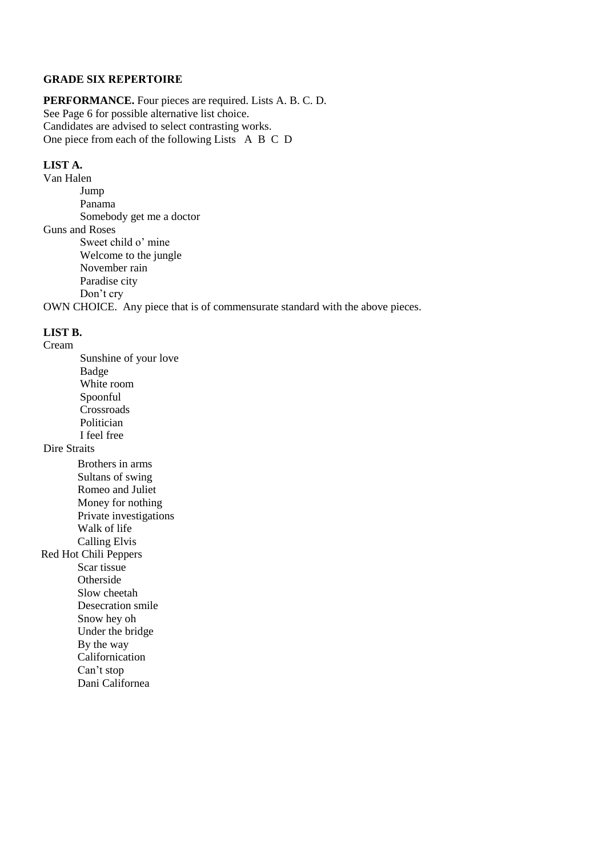#### **GRADE SIX REPERTOIRE**

**PERFORMANCE.** Four pieces are required. Lists A. B. C. D. See Page 6 for possible alternative list choice. Candidates are advised to select contrasting works. One piece from each of the following ListsA B C D

## **LIST A.**

Van Halen Jump Panama Somebody get me a doctor Guns and Roses Sweet child o' mine Welcome to the jungle November rain Paradise city Don't cry OWN CHOICE. Any piece that is of commensurate standard with the above pieces.

# **LIST B.**

Cream Sunshine of your love Badge White room Spoonful Crossroads Politician I feel free Dire Straits Brothers in arms Sultans of swing Romeo and Juliet Money for nothing Private investigations Walk of life Calling Elvis Red Hot Chili Peppers Scar tissue **Otherside** Slow cheetah Desecration smile Snow hey oh Under the bridge By the way Californication Can't stop

Dani Californea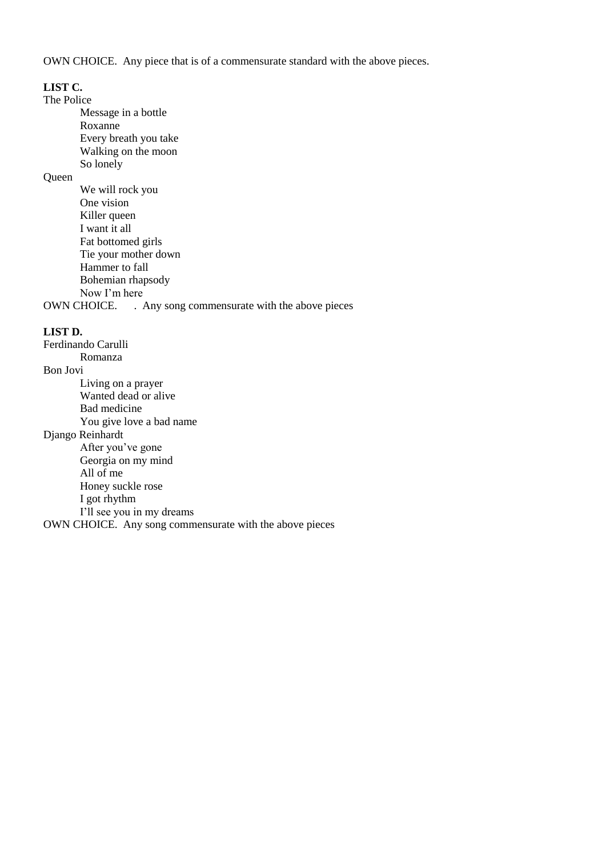OWN CHOICE. Any piece that is of a commensurate standard with the above pieces.

#### **LIST C.**

The Police

Message in a bottle Roxanne Every breath you take Walking on the moon

# So lonely

Queen

| We will rock you                                             |
|--------------------------------------------------------------|
| One vision                                                   |
| Killer queen                                                 |
| I want it all                                                |
| Fat bottomed girls                                           |
| Tie your mother down                                         |
| Hammer to fall                                               |
| Bohemian rhapsody                                            |
| Now I'm here                                                 |
| OWN CHOICE.<br>. Any song commensurate with the above pieces |
|                                                              |

### **LIST D.**

Ferdinando Carulli Romanza Bon Jovi Living on a prayer Wanted dead or alive Bad medicine You give love a bad name Django Reinhardt After you've gone Georgia on my mind All of me Honey suckle rose I got rhythm I'll see you in my dreams OWN CHOICE. Any song commensurate with the above pieces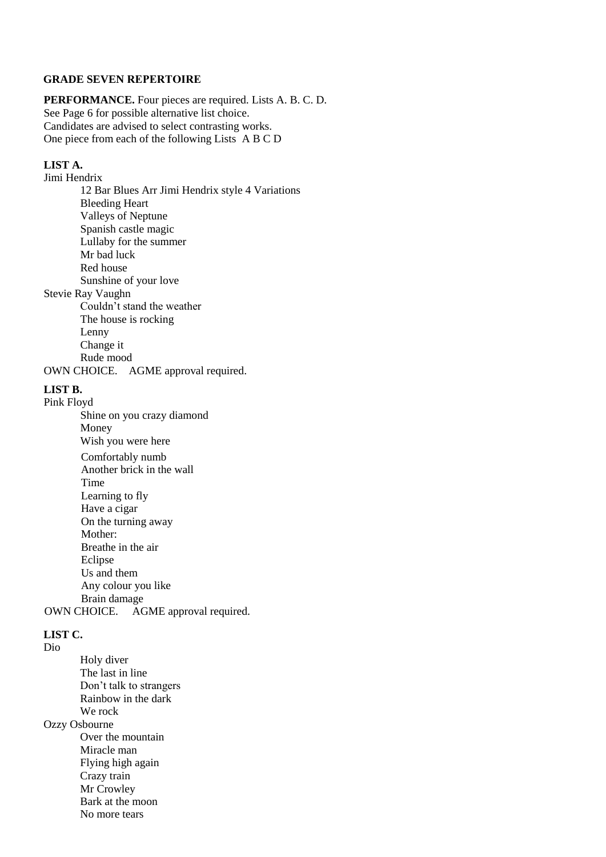#### **GRADE SEVEN REPERTOIRE**

**PERFORMANCE.** Four pieces are required. Lists A. B. C. D. See Page 6 for possible alternative list choice. Candidates are advised to select contrasting works. One piece from each of the following ListsA B C D

#### **LIST A.**

Jimi Hendrix 12 Bar Blues Arr Jimi Hendrix style 4 Variations Bleeding Heart Valleys of Neptune Spanish castle magic Lullaby for the summer Mr bad luck Red house Sunshine of your love Stevie Ray Vaughn Couldn't stand the weather The house is rocking Lenny Change it Rude mood OWN CHOICE. AGME approval required.

### **LIST B.**

#### Pink Floyd

Shine on you crazy diamond Money Wish you were here Comfortably numb Another brick in the wall Time Learning to fly Have a cigar On the turning away Mother: Breathe in the air Eclipse Us and them Any colour you like Brain damage OWN CHOICE. AGME approval required.

#### **LIST C.**

Dio

Holy diver The last in line Don't talk to strangers Rainbow in the dark We rock Ozzy Osbourne Over the mountain Miracle man Flying high again Crazy train Mr Crowley Bark at the moon No more tears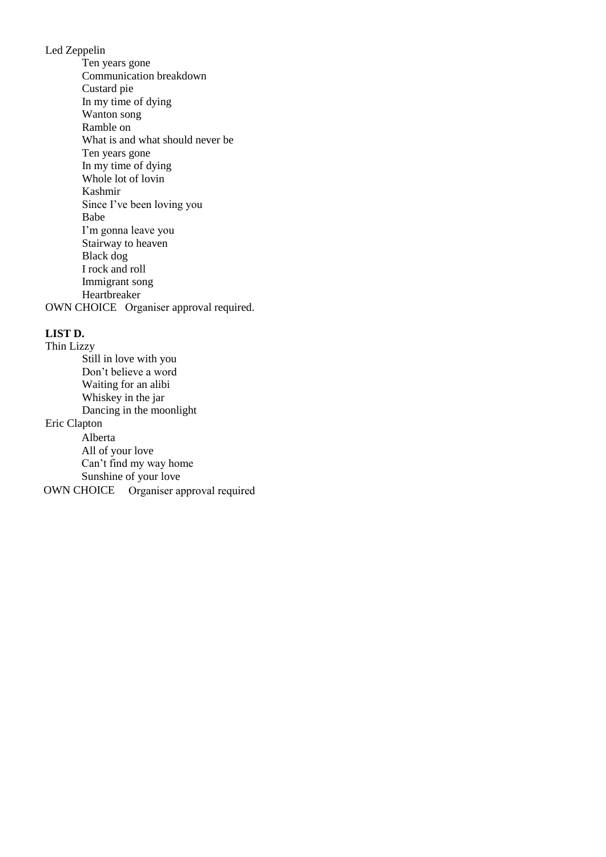Led Zeppelin

Ten years gone Communication breakdown Custard pie In my time of dying Wanton song Ramble on What is and what should never be Ten years gone In my time of dying Whole lot of lovin Kashmir Since I've been loving you Babe I'm gonna leave you Stairway to heaven Black dog I rock and roll Immigrant song Heartbreaker OWN CHOICE Organiser approval required.

## **LIST D.**

Thin Lizzy Still in love with you Don't believe a word Waiting for an alibi Whiskey in the jar Dancing in the moonlight Eric Clapton Alberta All of your love Can't find my way home Sunshine of your love OWN CHOICE Organiser approval required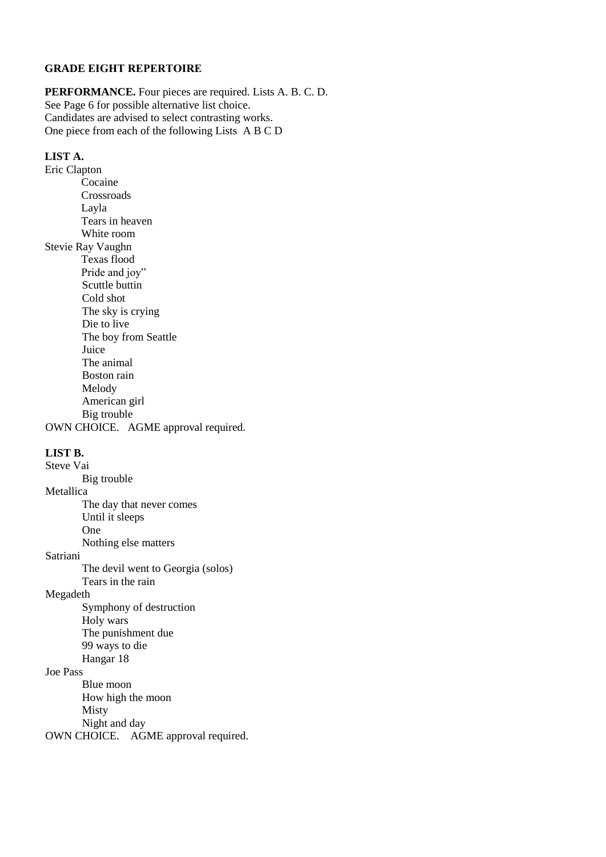#### **GRADE EIGHT REPERTOIRE**

**PERFORMANCE.** Four pieces are required. Lists A. B. C. D. See Page 6 for possible alternative list choice. Candidates are advised to select contrasting works. One piece from each of the following ListsA B C D

#### **LIST A.**

Eric Clapton Cocaine Crossroads Layla Tears in heaven White room Stevie Ray Vaughn Texas flood Pride and joy" Scuttle buttin Cold shot The sky is crying Die to live The boy from Seattle Juice The animal Boston rain Melody American girl Big trouble OWN CHOICE. AGME approval required.

## **LIST B.**

Steve Vai Big trouble Metallica Satriani The day that never comes Until it sleeps One Nothing else matters The devil went to Georgia (solos) Tears in the rain Megadeth Symphony of destruction Holy wars The punishment due 99 ways to die Hangar 18 Joe Pass Blue moon How high the moon Misty Night and day

OWN CHOICE. AGME approval required.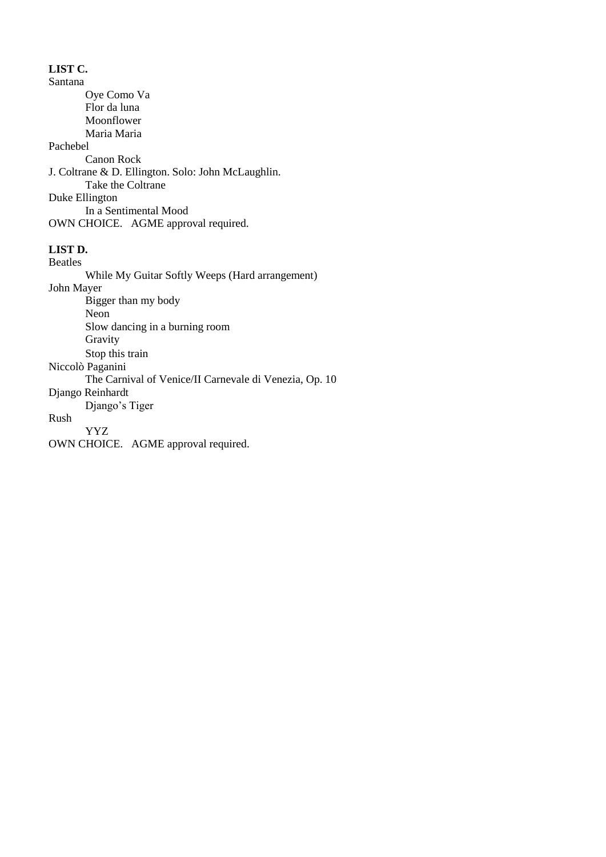# **LIST C.**

Santana Oye Como Va Flor da luna Moonflower Maria Maria Pachebel Canon Rock J. Coltrane & D. Ellington. Solo: John McLaughlin. Take the Coltrane Duke Ellington In a Sentimental Mood OWN CHOICE. AGME approval required.

# **LIST D.**

Beatles

While My Guitar Softly Weeps (Hard arrangement) John Mayer Bigger than my body Neon

Slow dancing in a burning room Gravity Stop this train

Niccolò Paganini

The Carnival of Venice/II Carnevale di Venezia, Op. 10

Django Reinhardt

Django's Tiger

# Rush

YYZ

OWN CHOICE. AGME approval required.